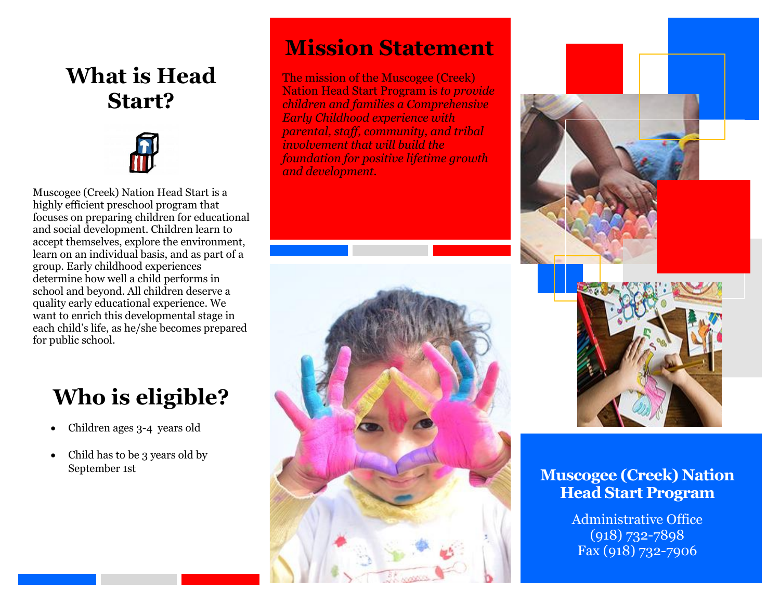## **What is Head Start?**



Muscogee (Creek) Nation Head Start is a highly efficient preschool program that focuses on preparing children for educational and social development. Children learn to accept themselves, explore the environment, learn on an individual basis, and as part of a group. Early childhood experiences determine how well a child performs in school and beyond. All children deserve a quality early educational experience. We want to enrich this developmental stage in each child's life, as he/she becomes prepared for public school.

# **Who is eligible?**

- Children ages 3-4 years old
- Child has to be 3 years old by September 1st

# **Mission Statement**

The mission of the Muscogee (Creek) Nation Head Start Program is *to provide children and families a Comprehensive Early Childhood experience with parental, staff, community, and tribal involvement that will build the foundation for positive lifetime growth and development.*







## **Muscogee (Creek) Nation Head Start Program**

Administrative Office (918) 732-7898 Fax (918) 732-7906